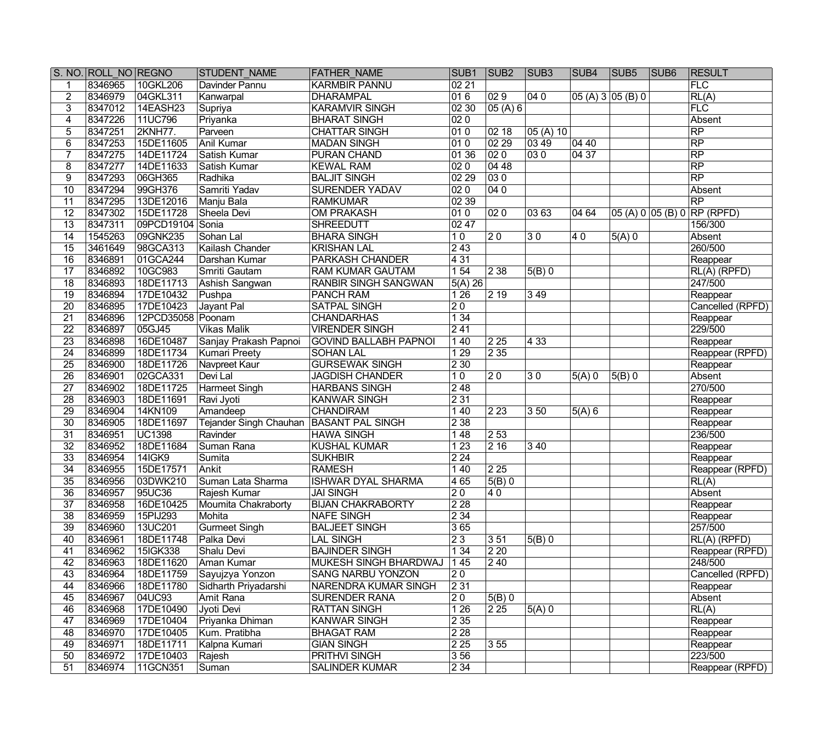|                 | S. NO. ROLL NO REGNO |                   | <b>STUDENT NAME</b>                       | <b>FATHER NAME</b>           | SUB1               | SUB <sub>2</sub> | SUB <sub>3</sub>   | SUB4         | SUB <sub>5</sub> | SUB <sub>6</sub> | <b>RESULT</b>                                           |
|-----------------|----------------------|-------------------|-------------------------------------------|------------------------------|--------------------|------------------|--------------------|--------------|------------------|------------------|---------------------------------------------------------|
|                 | 8346965              | 10GKL206          | Davinder Pannu                            | <b>KARMBIR PANNU</b>         | 0221               |                  |                    |              |                  |                  | FLC                                                     |
| $\overline{2}$  | 8346979              | 04GKL311          | Kanwarpal                                 | <b>DHARAMPAL</b>             | 016                | $ 029\rangle$    | 040                | 05(A)305(B)0 |                  |                  | RL(A)                                                   |
| $\overline{3}$  | 8347012              | 14EASH23          | Supriya                                   | <b>KARAMVIR SINGH</b>        | 02 30              | 05 (A) 6         |                    |              |                  |                  | FLC                                                     |
| $\overline{4}$  | 8347226              | 11UC796           | Priyanka                                  | <b>BHARAT SINGH</b>          | 020                |                  |                    |              |                  |                  | Absent                                                  |
| $\overline{5}$  | 8347251              | <b>2KNH77.</b>    | Parveen                                   | <b>CHATTAR SINGH</b>         | 010                | 0218             | 05 (A) 10          |              |                  |                  | $\overline{RP}$                                         |
| $\overline{6}$  | 8347253              | 15DE11605         | <b>Anil Kumar</b>                         | <b>MADAN SINGH</b>           | $\overline{010}$   | 0229             | 03 49              | 04 40        |                  |                  | $\overline{RP}$                                         |
| 7               | 8347275              | 14DE11724         | Satish Kumar                              | PURAN CHAND                  | 0136               | $ 020\rangle$    | $ 030\rangle$      | 0437         |                  |                  | $\overline{RP}$                                         |
| 8               | 8347277              | 14DE11633         | Satish Kumar                              | <b>KEWAL RAM</b>             | 020                | 04 48            |                    |              |                  |                  | $\overline{RP}$                                         |
| 9               | 8347293              | 06GH365           | Radhika                                   | <b>BALJIT SINGH</b>          | 02 29              | $\overline{030}$ |                    |              |                  |                  | $\overline{RP}$                                         |
| $\overline{10}$ | 8347294              | 99GH376           | Samriti Yadav                             | <b>SURENDER YADAV</b>        | 020                | 040              |                    |              |                  |                  | Absent                                                  |
| $\overline{11}$ | 8347295              | 13DE12016         | Manju Bala                                | <b>RAMKUMAR</b>              | 02 39              |                  |                    |              |                  |                  | $\overline{RP}$                                         |
| $\overline{12}$ | 8347302              | 15DE11728         | Sheela Devi                               | <b>OM PRAKASH</b>            | 010                | $ 020\rangle$    | $ 0363\rangle$     | 04 64        |                  |                  | $ 05 \overline{(A) 0}  05 \overline{(B) 0}  $ RP (RPFD) |
| $\overline{13}$ | 8347311              | 09PCD19104 Sonia  |                                           | <b>SHREEDUTT</b>             | 0247               |                  |                    |              |                  |                  | 156/300                                                 |
| $\overline{14}$ | 1545263              | 09GNK235          | Sohan Lal                                 | <b>BHARA SINGH</b>           | 10                 | $ 20\rangle$     | $\overline{30}$    | 40           | $5(A)$ 0         |                  | Absent                                                  |
| $\overline{15}$ | 3461649              | 98GCA313          | Kailash Chander                           | <b>KRISHAN LAL</b>           | 243                |                  |                    |              |                  |                  | 260/500                                                 |
| $\overline{16}$ | 8346891              | 01GCA244          | Darshan Kumar                             | <b>PARKASH CHANDER</b>       | 431                |                  |                    |              |                  |                  | Reappear                                                |
| $\overline{17}$ | 8346892              | 10GC983           | Smriti Gautam                             | <b>RAM KUMAR GAUTAM</b>      | 154                | $\sqrt{238}$     | 5(B)0              |              |                  |                  | RL(A) (RPFD)                                            |
| $\overline{18}$ | 8346893              | 18DE11713         | Ashish Sangwan                            | <b>RANBIR SINGH SANGWAN</b>  | 5(A) 26            |                  |                    |              |                  |                  | 247/500                                                 |
| $\overline{19}$ | 8346894              | 17DE10432         | Pushpa                                    | <b>PANCH RAM</b>             | 126                | $ 2\;19\rangle$  | 349                |              |                  |                  | Reappear                                                |
| $\overline{20}$ | 8346895              | 17DE10423         | Jayant Pal                                | <b>SATPAL SINGH</b>          | $\overline{20}$    |                  |                    |              |                  |                  | Cancelled (RPFD)                                        |
| $\overline{21}$ | 8346896              | 12PCD35058 Poonam |                                           | <b>CHANDARHAS</b>            | 134                |                  |                    |              |                  |                  | Reappear                                                |
| $\overline{22}$ | 8346897              | 05GJ45            | <b>Vikas Malik</b>                        | <b>VIRENDER SINGH</b>        | 241                |                  |                    |              |                  |                  | 229/500                                                 |
| $\overline{23}$ | 8346898              | 16DE10487         | Sanjay Prakash Papnoi                     | <b>GOVIND BALLABH PAPNOI</b> | 1 40               | 225              | $ 433\rangle$      |              |                  |                  | Reappear                                                |
| $\overline{24}$ | 8346899              | 18DE11734         | Kumari Preety                             | <b>SOHAN LAL</b>             | 1 2 9              | 235              |                    |              |                  |                  | Reappear (RPFD)                                         |
| $\overline{25}$ | 8346900              | 18DE11726         | Navpreet Kaur                             | <b>GURSEWAK SINGH</b>        | 2 3 0              |                  |                    |              |                  |                  | Reappear                                                |
| $\overline{26}$ | 8346901              | 02GCA331          | Devi Lal                                  | <b>JAGDISH CHANDER</b>       | 10                 | $\overline{20}$  | 30                 | $5(A)$ 0     | $\sqrt{5(B)}$ 0  |                  | Absent                                                  |
| $\overline{27}$ | 8346902              | 18DE11725         | Harmeet Singh                             | <b>HARBANS SINGH</b>         | 248                |                  |                    |              |                  |                  | 270/500                                                 |
| $\overline{28}$ | 8346903              | 18DE11691         | Ravi Jyoti                                | <b>KANWAR SINGH</b>          | 231                |                  |                    |              |                  |                  | Reappear                                                |
| $\overline{29}$ | 8346904              | 14KN109           | Amandeep                                  | <b>CHANDIRAM</b>             | 1 4 0              | $\overline{223}$ | 350                | $5(A)$ 6     |                  |                  | Reappear                                                |
| $\overline{30}$ | 8346905              | 18DE11697         | Tejander Singh Chauhan   BASANT PAL SINGH |                              | $\overline{238}$   |                  |                    |              |                  |                  | Reappear                                                |
| $\overline{31}$ | 8346951              | <b>UC1398</b>     | Ravinder                                  | <b>HAWA SINGH</b>            | 1 4 8              | 253              |                    |              |                  |                  | 236/500                                                 |
| $\overline{32}$ | 8346952              | 18DE11684         | Suman Rana                                | <b>KUSHAL KUMAR</b>          | 123                | $\overline{216}$ | 340                |              |                  |                  | Reappear                                                |
| $\overline{33}$ | 8346954              | <b>14IGK9</b>     | Sumita                                    | <b>SUKHBIR</b>               | 224                |                  |                    |              |                  |                  | Reappear                                                |
| $\overline{34}$ | 8346955              | 15DE17571         | Ankit                                     | <b>RAMESH</b>                | 1 4 0              | 2 25             |                    |              |                  |                  | Reappear (RPFD)                                         |
| $\overline{35}$ | 8346956              | 03DWK210          | Suman Lata Sharma                         | <b>ISHWAR DYAL SHARMA</b>    | 4 6 5              | $\sqrt{5(B)}$ 0  |                    |              |                  |                  | $\overline{RL(A)}$                                      |
| $\overline{36}$ | 8346957              | 95UC36            | Rajesh Kumar                              | <b>JAI SINGH</b>             | $\overline{20}$    | $\overline{40}$  |                    |              |                  |                  | Absent                                                  |
| 37              | 8346958              | 16DE10425         | Moumita Chakraborty                       | <b>BIJAN CHAKRABORTY</b>     | $\overline{228}$   |                  |                    |              |                  |                  | Reappear                                                |
| 38              | 8346959              | 15PIJ293          | Mohita                                    | <b>NAFE SINGH</b>            | 234                |                  |                    |              |                  |                  | Reappear                                                |
| 39              | 8346960              | 13UC201           | <b>Gurmeet Singh</b>                      | <b>BALJEET SINGH</b>         | 365                |                  |                    |              |                  |                  | 257/500                                                 |
| 40              | 8346961              | 18DE11748         | Palka Devi                                | <b>LAL SINGH</b>             | $\overline{23}$    | 351              | $5(B)$ 0           |              |                  |                  | RL(A) (RPFD)                                            |
| 41              | 8346962              | 15IGK338          | Shalu Devi                                | <b>BAJINDER SINGH</b>        | 134                | 220              |                    |              |                  |                  | Reappear (RPFD)                                         |
| 42              | 8346963              | 18DE11620         | Aman Kumar                                | MUKESH SINGH BHARDWAJ        | 145                | 2 4 0            |                    |              |                  |                  | 248/500                                                 |
| 43              | 8346964              | 18DE11759         | Sayujzya Yonzon                           | <b>SANG NARBU YONZON</b>     | 20                 |                  |                    |              |                  |                  | Cancelled (RPFD)                                        |
| 44              | 8346966              | 18DE11780         | Sidharth Priyadarshi                      | NARENDRA KUMAR SINGH         | 2 31               |                  |                    |              |                  |                  | Reappear                                                |
| 45              | 8346967              | 04UC93            | Amit Rana                                 | <b>SURENDER RANA</b>         | 20                 | 5(B)0            |                    |              |                  |                  | Absent                                                  |
| 46              | 8346968              | 17DE10490         | Jyoti Devi                                | <b>RATTAN SINGH</b>          | 1 2 6              | 225              | $\overline{5(A)}0$ |              |                  |                  | RL(A)                                                   |
| 47              | 8346969              | 17DE10404         | Priyanka Dhiman                           | <b>KANWAR SINGH</b>          | 235                |                  |                    |              |                  |                  | Reappear                                                |
| 48              | 8346970              | 17DE10405         | Kum. Pratibha                             | <b>BHAGAT RAM</b>            | 228                |                  |                    |              |                  |                  | Reappear                                                |
| 49              | 8346971              | 18DE11711         | Kalpna Kumari                             | <b>GIAN SINGH</b>            | $\overline{2\,25}$ | 355              |                    |              |                  |                  | Reappear                                                |
| 50              | 8346972              | 17DE10403         | Rajesh                                    | <b>PRITHVI SINGH</b>         | 356                |                  |                    |              |                  |                  | 223/500                                                 |
| $\overline{51}$ | 8346974              | 11GCN351          | Suman                                     | <b>SALINDER KUMAR</b>        | $\overline{234}$   |                  |                    |              |                  |                  | Reappear (RPFD)                                         |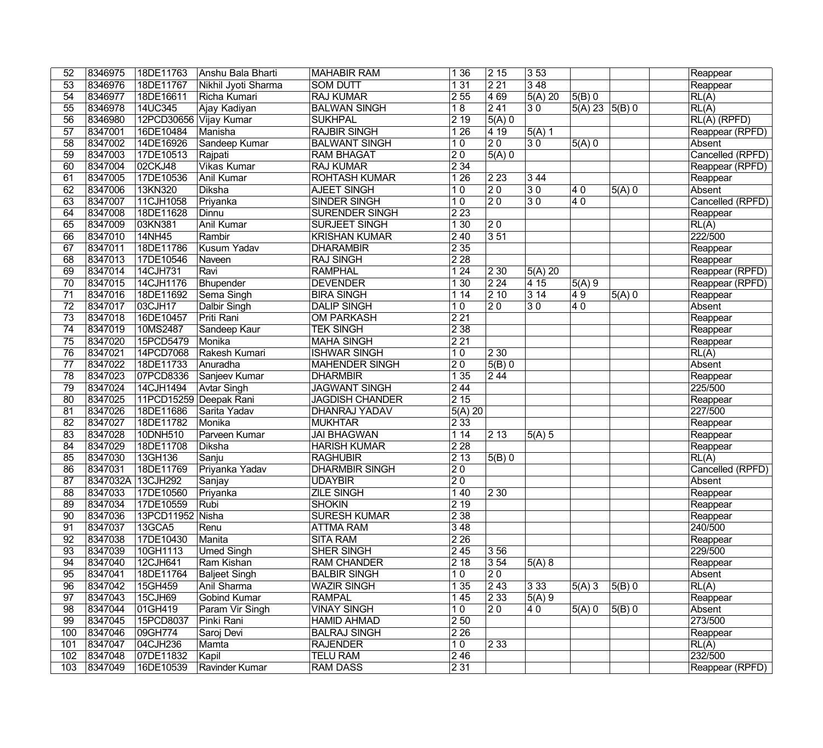| 52              | 8346975           | 18DE11763              | Anshu Bala Bharti   | MAHABIR RAM            | 1 3 6            | 2 15                | 353             |                  |                     | Reappear           |
|-----------------|-------------------|------------------------|---------------------|------------------------|------------------|---------------------|-----------------|------------------|---------------------|--------------------|
| $\overline{53}$ | 8346976           | 18DE11767              | Nikhil Jyoti Sharma | <b>SOM DUTT</b>        | 131              | $\overline{221}$    | 348             |                  |                     | Reappear           |
| 54              | 8346977           | 18DE16611              | Richa Kumari        | <b>RAJ KUMAR</b>       | 255              | $\sqrt{469}$        | $5(A)$ 20       | $5(B)$ 0         |                     | $\overline{RL(A)}$ |
| $\overline{55}$ | 8346978           | 14UC345                | Ajay Kadiyan        | <b>BALWAN SINGH</b>    | $\overline{18}$  | $\overline{241}$    | $\overline{30}$ | 5(A) 23   5(B) 0 |                     | RL(A)              |
| $\overline{56}$ | 8346980           | 12PCD30656 Vijay Kumar |                     | <b>SUKHPAL</b>         | $\sqrt{219}$     | $5(A)$ 0            |                 |                  |                     | $RL(A)$ (RPFD)     |
| $\overline{57}$ | 8347001           | 16DE10484              | Manisha             | <b>RAJBIR SINGH</b>    | 126              | $\sqrt{419}$        | $5(A)$ 1        |                  |                     | Reappear (RPFD)    |
| $\overline{58}$ | 8347002           | 14DE16926              | Sandeep Kumar       | <b>BALWANT SINGH</b>   | 10               | $\overline{20}$     | 30              | $5(A)$ 0         |                     | Absent             |
| $\overline{59}$ | 8347003           | 17DE10513              | Rajpati             | <b>RAM BHAGAT</b>      | $ 20\rangle$     | $\overline{5(A)}$ 0 |                 |                  |                     | Cancelled (RPFD)   |
| 60              | 8347004           | 02CKJ48                | <b>Vikas Kumar</b>  | <b>RAJ KUMAR</b>       | $\sqrt{234}$     |                     |                 |                  |                     | Reappear (RPFD)    |
| $\overline{61}$ | 8347005           | 17DE10536              | <b>Anil Kumar</b>   | <b>ROHTASH KUMAR</b>   | 126              | $ 223\rangle$       | 344             |                  |                     | Reappear           |
| 62              | 8347006           | 13KN320                | <b>Diksha</b>       | <b>AJEET SINGH</b>     | 10               | $\overline{20}$     | $\overline{30}$ | $\overline{40}$  | $\overline{5(A)}$ 0 | Absent             |
| 63              | 8347007           | 11CJH1058              | Priyanka            | <b>SINDER SINGH</b>    | 10               | $\overline{20}$     | $\overline{30}$ | $\overline{40}$  |                     | Cancelled (RPFD)   |
| 64              | 8347008           | 18DE11628              | Dinnu               | <b>SURENDER SINGH</b>  | $\sqrt{223}$     |                     |                 |                  |                     | Reappear           |
| 65              | 8347009           | 03KN381                | <b>Anil Kumar</b>   | <b>SURJEET SINGH</b>   | 130              | $ 20\rangle$        |                 |                  |                     | RL(A)              |
| 66              | 8347010           | 14NH45                 | Rambir              | <b>KRISHAN KUMAR</b>   | $\sqrt{240}$     | 351                 |                 |                  |                     | 222/500            |
| 67              | 8347011           | 18DE11786              | Kusum Yadav         | <b>DHARAMBIR</b>       | $\sqrt{235}$     |                     |                 |                  |                     | Reappear           |
| 68              | 8347013           | 17DE10546              | Naveen              | <b>RAJ SINGH</b>       | $\sqrt{228}$     |                     |                 |                  |                     | Reappear           |
| 69              | 8347014           | 14CJH731               | Ravi                | <b>RAMPHAL</b>         | 124              | $\overline{230}$    | 5(A) 20         |                  |                     | Reappear (RPFD)    |
| $\overline{70}$ | 8347015           | 14CJH1176              | Bhupender           | <b>DEVENDER</b>        | 130              | 224                 | 415             | 5(A)9            |                     | Reappear (RPFD)    |
| $\overline{71}$ | 8347016           | 18DE11692              | Sema Singh          | <b>BIRA SINGH</b>      | 114              | 210                 | 314             | $\overline{49}$  | $5(A)$ 0            | Reappear           |
| $\overline{72}$ | 8347017           | 03CJH17                | Dalbir Singh        | <b>DALIP SINGH</b>     | 10               | $\overline{20}$     | 30              | $\overline{40}$  |                     | Absent             |
| $\overline{73}$ | 8347018           | 16DE10457              | Priti Rani          | <b>OM PARKASH</b>      | $\sqrt{221}$     |                     |                 |                  |                     | Reappear           |
| $\overline{74}$ | 8347019           | 10MS2487               | Sandeep Kaur        | <b>TEK SINGH</b>       | $\overline{238}$ |                     |                 |                  |                     | Reappear           |
| $\overline{75}$ | 8347020           | 15PCD5479              | Monika              | <b>MAHA SINGH</b>      | $\overline{221}$ |                     |                 |                  |                     | Reappear           |
| 76              | 8347021           | 14PCD7068              | Rakesh Kumari       | <b>ISHWAR SINGH</b>    | 10               | $ 230\rangle$       |                 |                  |                     | RL(A)              |
| $\overline{77}$ | 8347022           | 18DE11733              | Anuradha            | MAHENDER SINGH         | $\overline{20}$  | $5(B)$ 0            |                 |                  |                     | Absent             |
| $\overline{78}$ | 8347023           | 07PCD8336              | Sanjeev Kumar       | <b>DHARMBIR</b>        | 135              | $\sqrt{244}$        |                 |                  |                     | Reappear           |
| 79              | 8347024           | 14CJH1494              | <b>Avtar Singh</b>  | <b>JAGWANT SINGH</b>   | $\sqrt{244}$     |                     |                 |                  |                     | 225/500            |
| $\overline{80}$ | 8347025           | 11PCD15259 Deepak Rani |                     | <b>JAGDISH CHANDER</b> | $\sqrt{215}$     |                     |                 |                  |                     | Reappear           |
| $\overline{81}$ | 8347026           | 18DE11686              | Sarita Yadav        | <b>DHANRAJ YADAV</b>   | $5(A)$ 20        |                     |                 |                  |                     | 227/500            |
| $\overline{82}$ | 8347027           | 18DE11782              | Monika              | MUKHTAR                | $\overline{233}$ |                     |                 |                  |                     | Reappear           |
| $\overline{83}$ | 8347028           | 10DNH510               | Parveen Kumar       | <b>JAI BHAGWAN</b>     | 114              | $ 2\;13\rangle$     | $5(A)$ 5        |                  |                     | Reappear           |
| 84              | 8347029           | 18DE11708              | <b>Diksha</b>       | <b>HARISH KUMAR</b>    | $\sqrt{228}$     |                     |                 |                  |                     | Reappear           |
| 85              | 8347030           | 13GH136                | Sanju               | <b>RAGHUBIR</b>        | $\sqrt{213}$     | 5(B) 0              |                 |                  |                     | RL(A)              |
| 86              | 8347031           | 18DE11769              | Priyanka Yadav      | <b>DHARMBIR SINGH</b>  | $\overline{20}$  |                     |                 |                  |                     | Cancelled (RPFD)   |
| 87              | 8347032A 13CJH292 |                        | Sanjay              | UDAYBIR                | $\overline{20}$  |                     |                 |                  |                     | Absent             |
| $\overline{88}$ | 8347033           | 17DE10560              | Priyanka            | <b>ZILE SINGH</b>      | 140              | $\sqrt{230}$        |                 |                  |                     | Reappear           |
| 89              | 8347034           | 17DE10559              | Rubi                | <b>SHOKIN</b>          | 219              |                     |                 |                  |                     | Reappear           |
| 90              | 8347036           | 13PCD11952 Nisha       |                     | <b>SURESH KUMAR</b>    | 238              |                     |                 |                  |                     | Reappear           |
| 91              | 8347037           | 13GCA5                 | Renu                | <b>ATTMA RAM</b>       | 348              |                     |                 |                  |                     | 240/500            |
| 92              | 8347038           | 17DE10430              | Manita              | <b>SITA RAM</b>        | $\overline{226}$ |                     |                 |                  |                     | Reappear           |
| $\overline{93}$ | 8347039           | 10GH1113               | <b>Umed Singh</b>   | SHER SINGH             | $ 245\rangle$    | 3 56                |                 |                  |                     | 229/500            |
| 94              | 8347040           | 12CJH641               | Ram Kishan          | <b>RAM CHANDER</b>     | $ 2\;18$         | $354$               | $5(A)$ 8        |                  |                     | Reappear           |
| $\overline{95}$ | 8347041           | 18DE11764              | Baljeet Singh       | <b>BALBIR SINGH</b>    | 10               | $\overline{20}$     |                 |                  |                     | Absent             |
| 96              | 8347042           | 15GH459                | Anil Sharma         | <b>WAZIR SINGH</b>     | 1 3 5            | $\sqrt{243}$        | 333             | $ 5(A) $ 3       | $5(B)$ 0            | RL(A)              |
| 97              | 8347043           | <b>15CJH69</b>         | <b>Gobind Kumar</b> | <b>RAMPAL</b>          | 145              | $\sqrt{233}$        | 5(A)9           |                  |                     | Reappear           |
| 98              | 8347044           | 01GH419                | Param Vir Singh     | <b>VINAY SINGH</b>     | 10               | $\overline{20}$     | 40              | 5(A) 0           | $5(B)$ 0            | Absent             |
| 99              | 8347045           | 15PCD8037              | Pinki Rani          | HAMID AHMAD            | $\sqrt{250}$     |                     |                 |                  |                     | 273/500            |
| 100             | 8347046           | 09GH774                | Saroj Devi          | <b>BALRAJ SINGH</b>    | $\sqrt{226}$     |                     |                 |                  |                     | Reappear           |
| 101             | 8347047           | 04CJH236               | Mamta               | <b>RAJENDER</b>        | 10               | $\sqrt{233}$        |                 |                  |                     | RL(A)              |
| 102             | 8347048           | 07DE11832              | Kapil               | <b>TELU RAM</b>        | $\sqrt{246}$     |                     |                 |                  |                     | 232/500            |
| 103             | 8347049           | 16DE10539              | Ravinder Kumar      | <b>RAM DASS</b>        | $\sqrt{231}$     |                     |                 |                  |                     | Reappear (RPFD)    |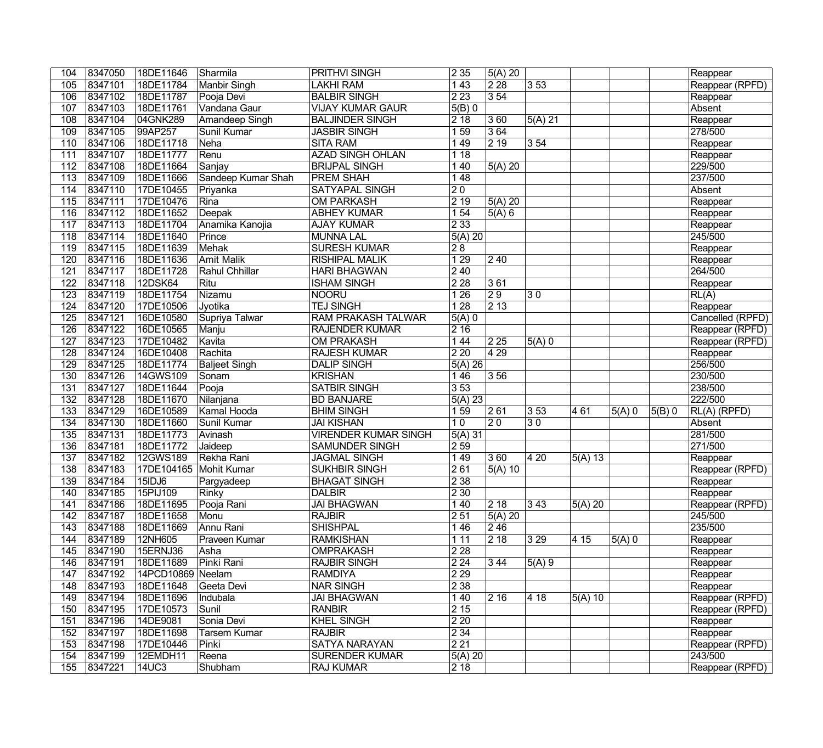| 104              | 8347050 | 18DE11646              | Sharmila                        | <b>PRITHVI SINGH</b>        | 235              | 5(A) 20          |                 |           |                     |          | Reappear         |
|------------------|---------|------------------------|---------------------------------|-----------------------------|------------------|------------------|-----------------|-----------|---------------------|----------|------------------|
| 105              | 8347101 | 18DE11784              | Manbir Singh                    | <b>LAKHI RAM</b>            | 143              | 228              | 353             |           |                     |          | Reappear (RPFD)  |
| 106              | 8347102 | 18DE11787              | Pooja Devi                      | <b>BALBIR SINGH</b>         | 223              | 354              |                 |           |                     |          | Reappear         |
| 107              | 8347103 | 18DE11761              | Vandana Gaur                    | <b>VIJAY KUMAR GAUR</b>     | $5(B)$ 0         |                  |                 |           |                     |          | Absent           |
| 108              | 8347104 | 04GNK289               | <b>Amandeep Singh</b>           | <b>BALJINDER SINGH</b>      | 218              | 360              | 5(A) 21         |           |                     |          | Reappear         |
| 109              | 8347105 | 99AP257                | <b>Sunil Kumar</b>              | <b>JASBIR SINGH</b>         | 159              | 364              |                 |           |                     |          | 278/500          |
| 110              | 8347106 | 18DE11718              | Neha                            | <b>SITA RAM</b>             | 149              | 219              | 354             |           |                     |          | Reappear         |
| 111              | 8347107 | 18DE11777              | Renu                            | <b>AZAD SINGH OHLAN</b>     | 118              |                  |                 |           |                     |          | Reappear         |
| 112              | 8347108 | 18DE11664              | Sanjay                          | <b>BRIJPAL SINGH</b>        | 1 4 0            | 5(A) 20          |                 |           |                     |          | 229/500          |
| $\overline{113}$ | 8347109 | 18DE11666              | Sandeep Kumar Shah              | <b>PREM SHAH</b>            | 148              |                  |                 |           |                     |          | 237/500          |
| 114              | 8347110 | 17DE10455              | $\overline{\mathrm{Pr}}$ iyanka | <b>SATYAPAL SINGH</b>       | $\overline{20}$  |                  |                 |           |                     |          | Absent           |
| 115              | 8347111 | 17DE10476              | Rina                            | <b>OM PARKASH</b>           | 219              | $5(A)$ 20        |                 |           |                     |          | Reappear         |
| 116              | 8347112 | 18DE11652              | Deepak                          | <b>ABHEY KUMAR</b>          | 154              | 5(A)6            |                 |           |                     |          | Reappear         |
| 117              | 8347113 | 18DE11704              | Anamika Kanojia                 | <b>AJAY KUMAR</b>           | 233              |                  |                 |           |                     |          | Reappear         |
| 118              | 8347114 | 18DE11640              | Prince                          | <b>MUNNA LAL</b>            | $5(A)$ 20        |                  |                 |           |                     |          | 245/500          |
| 119              | 8347115 | 18DE11639              | Mehak                           | <b>SURESH KUMAR</b>         | $\overline{28}$  |                  |                 |           |                     |          | Reappear         |
| 120              | 8347116 | 18DE11636              | <b>Amit Malik</b>               | <b>RISHIPAL MALIK</b>       | 129              | $\sqrt{240}$     |                 |           |                     |          | Reappear         |
| 121              | 8347117 | 18DE11728              | Rahul Chhillar                  | <b>HARI BHAGWAN</b>         | $\overline{240}$ |                  |                 |           |                     |          | 264/500          |
| 122              | 8347118 | 12DSK64                | Ritu                            | <b>ISHAM SINGH</b>          | $\overline{228}$ | 361              |                 |           |                     |          | Reappear         |
| 123              | 8347119 | 18DE11754              | Nizamu                          | NOORU                       | 126              | $\overline{29}$  | 30              |           |                     |          | RL(A)            |
| 124              | 8347120 | 17DE10506              | Jyotika                         | <b>TEJ SINGH</b>            | 128              | $\overline{213}$ |                 |           |                     |          | Reappear         |
| 125              | 8347121 | 16DE10580              | Supriya Talwar                  | <b>RAM PRAKASH TALWAR</b>   | $5(A)$ 0         |                  |                 |           |                     |          | Cancelled (RPFD) |
| 126              | 8347122 | 16DE10565              | Manju                           | <b>RAJENDER KUMAR</b>       | 2 16             |                  |                 |           |                     |          | Reappear (RPFD)  |
| $\overline{127}$ | 8347123 | 17DE10482              | Kavita                          | <b>OM PRAKASH</b>           | 1 4 4            | 225              | $5(A)$ 0        |           |                     |          | Reappear (RPFD)  |
| 128              | 8347124 | 16DE10408              | Rachita                         | <b>RAJESH KUMAR</b>         | 220              | 4 2 9            |                 |           |                     |          | Reappear         |
| 129              | 8347125 | 18DE11774              | <b>Baljeet Singh</b>            | <b>DALIP SINGH</b>          | 5(A) 26          |                  |                 |           |                     |          | 256/500          |
| 130              | 8347126 | 14GWS109               | Sonam                           | <b>KRISHAN</b>              | 146              | 3 5 6            |                 |           |                     |          | 230/500          |
| 131              | 8347127 | 18DE11644              | Pooja                           | <b>SATBIR SINGH</b>         | 353              |                  |                 |           |                     |          | 238/500          |
| 132              | 8347128 | 18DE11670              | Nilanjana                       | <b>BD BANJARE</b>           | $5(A)$ 23        |                  |                 |           |                     |          | 222/500          |
| 133              | 8347129 | 16DE10589              | Kamal Hooda                     | <b>BHIM SINGH</b>           | 159              | 261              | $ 3\,53\rangle$ | 461       | $\overline{5(A)}$ 0 | $5(B)$ 0 | $RL(A)$ (RPFD)   |
| 134              | 8347130 | 18DE11660              | Sunil Kumar                     | <b>JAI KISHAN</b>           | 10               | $\overline{20}$  | 30              |           |                     |          | Absent           |
| 135              | 8347131 | 18DE11773              | Avinash                         | <b>VIRENDER KUMAR SINGH</b> | 5(A) 31          |                  |                 |           |                     |          | 281/500          |
| $\overline{136}$ | 8347181 | 18DE11772              | Jaideep                         | <b>SAMUNDER SINGH</b>       | 259              |                  |                 |           |                     |          | 271/500          |
| 137              | 8347182 | 12GWS189               | Rekha Rani                      | <b>JAGMAL SINGH</b>         | 149              | 360              | $ 420\rangle$   | 5(A) 13   |                     |          | Reappear         |
| 138              | 8347183 | 17DE104165 Mohit Kumar |                                 | <b>SUKHBIR SINGH</b>        | 261              | $5(A)$ 10        |                 |           |                     |          | Reappear (RPFD)  |
| 139              | 8347184 | 15IDJ6                 | Pargyadeep                      | <b>BHAGAT SINGH</b>         | 238              |                  |                 |           |                     |          | Reappear         |
| 140              | 8347185 | 15PIJ109               | Rinky                           | <b>DALBIR</b>               | $\overline{230}$ |                  |                 |           |                     |          | Reappear         |
| 141              | 8347186 | 18DE11695              | Pooja Rani                      | <b>JAI BHAGWAN</b>          | 140              | 218              | $ 343\rangle$   | $5(A)$ 20 |                     |          | Reappear (RPFD)  |
| 142              | 8347187 | 18DE11658              | Monu                            | <b>RAJBIR</b>               | 2 5 1            | 5(A) 20          |                 |           |                     |          | 245/500          |
| 143              | 8347188 | 18DE11669              | Annu Rani                       | <b>SHISHPAL</b>             | 146              | 246              |                 |           |                     |          | 235/500          |
| 144              | 8347189 | 12NH605                | Praveen Kumar                   | <b>RAMKISHAN</b>            | 1 1 1            | $\overline{218}$ | 3 2 9           | 4 15      | $5(A)$ 0            |          | Reappear         |
| 145              | 8347190 | 15ERNJ36               | Asha                            | <b>OMPRAKASH</b>            | 2 2 8            |                  |                 |           |                     |          | Reappear         |
| 146              | 8347191 | 18DE11689              | Pinki Rani                      | <b>RAJBIR SINGH</b>         | 224              | 3 4 4            | $5(A)$ 9        |           |                     |          | Reappear         |
| 147              | 8347192 | 14PCD10869 Neelam      |                                 | <b>RAMDIYA</b>              | 229              |                  |                 |           |                     |          | Reappear         |
| 148              | 8347193 | 18DE11648              | Geeta Devi                      | <b>NAR SINGH</b>            | 2 3 8            |                  |                 |           |                     |          | Reappear         |
| 149              | 8347194 | 18DE11696              | Indubala                        | <b>JAI BHAGWAN</b>          | 1 4 0            | 216              | 4 18            | $5(A)$ 10 |                     |          | Reappear (RPFD)  |
| 150              | 8347195 | 17DE10573              | Sunil                           | <b>RANBIR</b>               | 215              |                  |                 |           |                     |          | Reappear (RPFD)  |
| 151              | 8347196 | 14DE9081               | Sonia Devi                      | <b>KHEL SINGH</b>           | 220              |                  |                 |           |                     |          | Reappear         |
| 152              | 8347197 | 18DE11698              | Tarsem Kumar                    | <b>RAJBIR</b>               | 2 3 4            |                  |                 |           |                     |          | Reappear         |
| 153              | 8347198 | 17DE10446              | Pinki                           | <b>SATYA NARAYAN</b>        | 221              |                  |                 |           |                     |          | Reappear (RPFD)  |
| 154              | 8347199 | 12EMDH11               | Reena                           | <b>SURENDER KUMAR</b>       | $5(A)$ 20        |                  |                 |           |                     |          | 243/500          |
| 155              | 8347221 | <b>14UC3</b>           | Shubham                         | <b>RAJ KUMAR</b>            | $ 2\;18$         |                  |                 |           |                     |          | Reappear (RPFD)  |
|                  |         |                        |                                 |                             |                  |                  |                 |           |                     |          |                  |